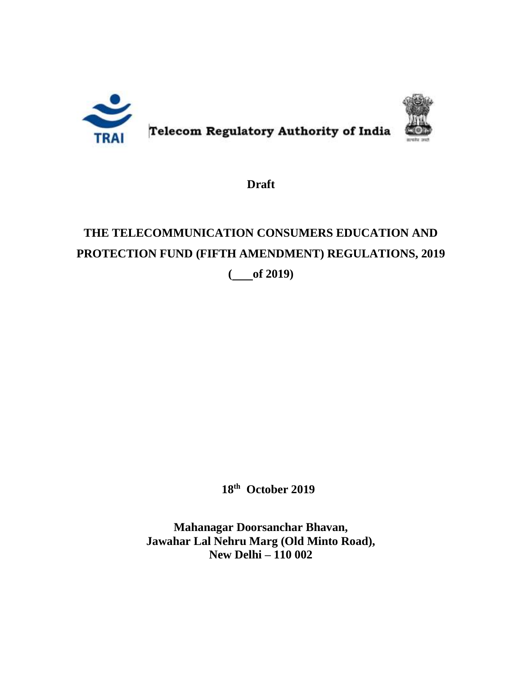

**Draft**

# **THE TELECOMMUNICATION CONSUMERS EDUCATION AND PROTECTION FUND (FIFTH AMENDMENT) REGULATIONS, 2019**

**( of 2019)**

**18th October 2019** 

**Mahanagar Doorsanchar Bhavan, Jawahar Lal Nehru Marg (Old Minto Road), New Delhi – 110 002**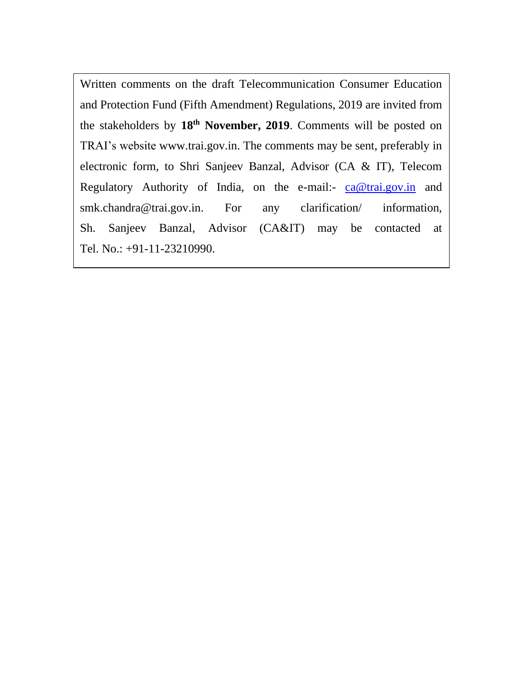Written comments on the draft Telecommunication Consumer Education and Protection Fund (Fifth Amendment) Regulations, 2019 are invited from the stakeholders by **18th November, 2019**. Comments will be posted on TRAI's website [www.trai.gov.in.](http://www.trai.gov.in/) The comments may be sent, preferably in electronic form, to Shri Sanjeev Banzal, Advisor (CA & IT), Telecom Regulatory Authority of India, on the e-mail:- [ca@trai.gov.in](mailto:ca@trai.gov.in) and smk.chandra@trai.gov.in. For any clarification/ information, Sh. Sanjeev Banzal, Advisor (CA&IT) may be contacted at Tel. No.: +91-11-23210990.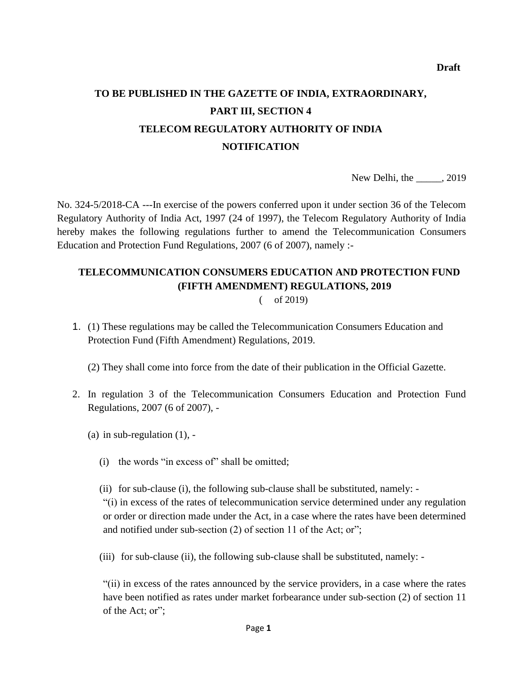## **TO BE PUBLISHED IN THE GAZETTE OF INDIA, EXTRAORDINARY, PART III, SECTION 4 TELECOM REGULATORY AUTHORITY OF INDIA NOTIFICATION**

New Delhi, the \_\_\_\_\_, 2019

No. 324-5/2018-CA ---In exercise of the powers conferred upon it under section 36 of the Telecom Regulatory Authority of India Act, 1997 (24 of 1997), the Telecom Regulatory Authority of India hereby makes the following regulations further to amend the Telecommunication Consumers Education and Protection Fund Regulations, 2007 (6 of 2007), namely :-

### **TELECOMMUNICATION CONSUMERS EDUCATION AND PROTECTION FUND (FIFTH AMENDMENT) REGULATIONS, 2019**

( of 2019)

1. (1) These regulations may be called the Telecommunication Consumers Education and Protection Fund (Fifth Amendment) Regulations, 2019.

(2) They shall come into force from the date of their publication in the Official Gazette.

- 2. In regulation 3 of the Telecommunication Consumers Education and Protection Fund Regulations, 2007 (6 of 2007), -
	- (a) in sub-regulation  $(1)$ , -
		- (i) the words "in excess of" shall be omitted;
		- (ii) for sub-clause (i), the following sub-clause shall be substituted, namely: -

"(i) in excess of the rates of telecommunication service determined under any regulation or order or direction made under the Act, in a case where the rates have been determined and notified under sub-section (2) of section 11 of the Act; or";

(iii) for sub-clause (ii), the following sub-clause shall be substituted, namely: -

"(ii) in excess of the rates announced by the service providers, in a case where the rates have been notified as rates under market forbearance under sub-section (2) of section 11 of the Act; or";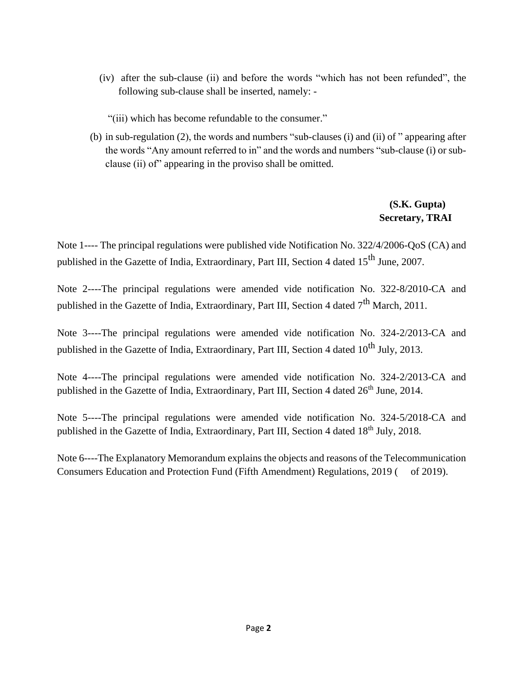- (iv) after the sub-clause (ii) and before the words "which has not been refunded", the following sub-clause shall be inserted, namely: -
	- "(iii) which has become refundable to the consumer."
- (b) in sub-regulation (2), the words and numbers "sub-clauses (i) and (ii) of " appearing after the words "Any amount referred to in" and the words and numbers "sub-clause (i) or subclause (ii) of" appearing in the proviso shall be omitted.

#### **(S.K. Gupta) Secretary, TRAI**

Note 1---- The principal regulations were published vide Notification No. 322/4/2006-QoS (CA) and published in the Gazette of India, Extraordinary, Part III, Section 4 dated  $15<sup>th</sup>$  June, 2007.

Note 2----The principal regulations were amended vide notification No. 322-8/2010-CA and published in the Gazette of India, Extraordinary, Part III, Section 4 dated 7<sup>th</sup> March, 2011.

Note 3----The principal regulations were amended vide notification No. 324-2/2013-CA and published in the Gazette of India, Extraordinary, Part III, Section 4 dated  $10^{th}$  July, 2013.

Note 4----The principal regulations were amended vide notification No. 324-2/2013-CA and published in the Gazette of India, Extraordinary, Part III, Section 4 dated  $26<sup>th</sup>$  June, 2014.

Note 5----The principal regulations were amended vide notification No. 324-5/2018-CA and published in the Gazette of India, Extraordinary, Part III, Section 4 dated 18<sup>th</sup> July, 2018.

Note 6----The Explanatory Memorandum explains the objects and reasons of the Telecommunication Consumers Education and Protection Fund (Fifth Amendment) Regulations, 2019 ( of 2019).